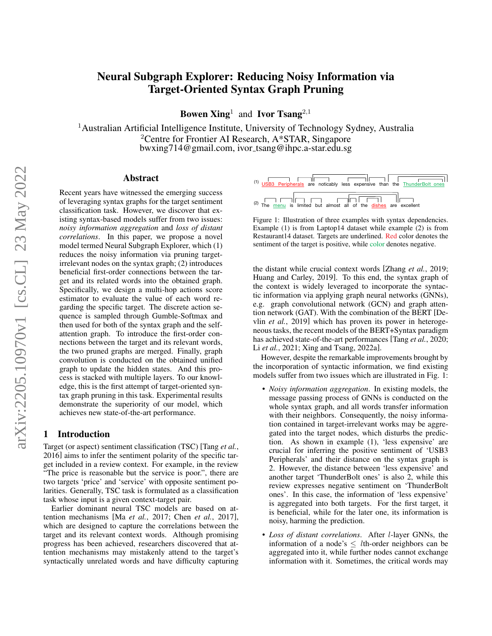# Neural Subgraph Explorer: Reducing Noisy Information via Target-Oriented Syntax Graph Pruning

**Bowen Xing**<sup>1</sup> and **Ivor Tsang**<sup>2,1</sup>

<sup>1</sup> Australian Artificial Intelligence Institute, University of Technology Sydney, Australia <sup>2</sup>Centre for Frontier AI Research,  $A*STAR$ , Singapore bwxing714@gmail.com, ivor tsang@ihpc.a-star.edu.sg

## Abstract

Recent years have witnessed the emerging success of leveraging syntax graphs for the target sentiment classification task. However, we discover that existing syntax-based models suffer from two issues: *noisy information aggregation* and *loss of distant correlations*. In this paper, we propose a novel model termed Neural Subgraph Explorer, which (1) reduces the noisy information via pruning targetirrelevant nodes on the syntax graph; (2) introduces beneficial first-order connections between the target and its related words into the obtained graph. Specifically, we design a multi-hop actions score estimator to evaluate the value of each word regarding the specific target. The discrete action sequence is sampled through Gumble-Softmax and then used for both of the syntax graph and the selfattention graph. To introduce the first-order connections between the target and its relevant words, the two pruned graphs are merged. Finally, graph convolution is conducted on the obtained unified graph to update the hidden states. And this process is stacked with multiple layers. To our knowledge, this is the first attempt of target-oriented syntax graph pruning in this task. Experimental results demonstrate the superiority of our model, which achieves new state-of-the-art performance.

## 1 Introduction

Target (or aspect) sentiment classification (TSC) [\[Tang](#page-6-0) *et al.*, [2016\]](#page-6-0) aims to infer the sentiment polarity of the specific target included in a review context. For example, in the review "The price is reasonable but the service is poor.", there are two targets 'price' and 'service' with opposite sentiment polarities. Generally, TSC task is formulated as a classification task whose input is a given context-target pair.

Earlier dominant neural TSC models are based on attention mechanisms [Ma *et al.*[, 2017;](#page-6-1) Chen *et al.*[, 2017\]](#page-6-2), which are designed to capture the correlations between the target and its relevant context words. Although promising progress has been achieved, researchers discovered that attention mechanisms may mistakenly attend to the target's syntactically unrelated words and have difficulty capturing

<span id="page-0-0"></span>

Figure 1: Illustration of three examples with syntax dependencies. Example (1) is from Laptop14 dataset while example (2) is from Restaurant14 dataset. Targets are underlined. Red color denotes the sentiment of the target is positive, while color denotes negative.

the distant while crucial context words [\[Zhang](#page-6-3) *et al.*, 2019; [Huang and Carley, 2019\]](#page-6-4). To this end, the syntax graph of the context is widely leveraged to incorporate the syntactic information via applying graph neural networks (GNNs), e.g. graph convolutional network (GCN) and graph attention network (GAT). With the combination of the BERT [\[De](#page-6-5)vlin *et al.*[, 2019\]](#page-6-5) which has proven its power in heterogeneous tasks, the recent models of the BERT+Syntax paradigm has achieved state-of-the-art performances [Tang *et al.*[, 2020;](#page-6-6) Li *et al.*[, 2021;](#page-6-7) [Xing and Tsang, 2022a\]](#page-6-8).

However, despite the remarkable improvements brought by the incorporation of syntactic information, we find existing models suffer from two issues which are illustrated in Fig. [1:](#page-0-0)

- *Noisy information aggregation*. In existing models, the message passing process of GNNs is conducted on the whole syntax graph, and all words transfer information with their neighbors. Consequently, the noisy information contained in target-irrelevant works may be aggregated into the target nodes, which disturbs the prediction. As shown in example (1), 'less expensive' are crucial for inferring the positive sentiment of 'USB3 Peripherals' and their distance on the syntax graph is 2. However, the distance between 'less expensive' and another target 'ThunderBolt ones' is also 2, while this review expresses negative sentiment on 'ThunderBolt ones'. In this case, the information of 'less expensive' is aggregated into both targets. For the first target, it is beneficial, while for the later one, its information is noisy, harming the prediction.
- *Loss of distant correlations*. After l-layer GNNs, the information of a node's  $\leq$  lth-order neighbors can be aggregated into it, while further nodes cannot exchange information with it. Sometimes, the critical words may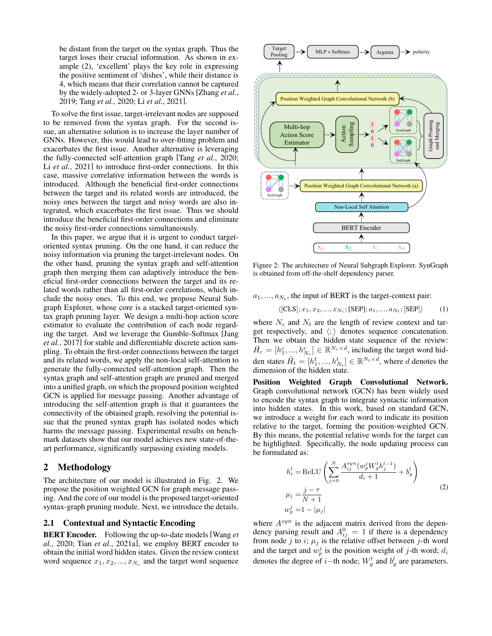be distant from the target on the syntax graph. Thus the target loses their crucial information. As shown in example (2), 'excellent' plays the key role in expressing the positive sentiment of 'dishes', while their distance is 4, which means that their correlation cannot be captured by the widely-adopted 2- or 3-layer GNNs [\[Zhang](#page-6-3) *et al.*, [2019;](#page-6-3) Tang *et al.*[, 2020;](#page-6-6) Li *et al.*[, 2021\]](#page-6-7).

To solve the first issue, target-irrelevant nodes are supposed to be removed from the syntax graph. For the second issue, an alternative solution is to increase the layer number of GNNs. However, this would lead to over-fitting problem and exacerbates the first issue. Another alternative is leveraging the fully-connected self-attention graph [Tang *et al.*[, 2020;](#page-6-6) Li *et al.*[, 2021\]](#page-6-7) to introduce first-order connections. In this case, massive correlative information between the words is introduced. Although the beneficial first-order connections between the target and its related words are introduced, the noisy ones between the target and noisy words are also integrated, which exacerbates the first issue. Thus we should introduce the beneficial first-order connections and eliminate the noisy first-order connections simultaneously.

In this paper, we argue that it is urgent to conduct targetoriented syntax pruning. On the one hand, it can reduce the noisy information via pruning the target-irrelevant nodes. On the other hand, pruning the syntax graph and self-attention graph then merging them can adaptively introduce the beneficial first-order connections between the target and its related words rather than all first-order correlations, which include the noisy ones. To this end, we propose Neural Subgraph Explorer, whose core is a stacked target-oriented syntax graph pruning layer. We design a multi-hop action score estimator to evaluate the contribution of each node regarding the target. And we leverage the Gumble-Softmax [\[Jang](#page-6-9) *et al.*[, 2017\]](#page-6-9) for stable and differentiable discrete action sampling. To obtain the first-order connections between the target and its related words, we apply the non-local self-attention to generate the fully-connected self-attention graph. Then the syntax graph and self-attention graph are pruned and merged into a unified graph, on which the proposed position weighted GCN is applied for message passing. Another advantage of introducing the self-attention graph is that it guarantees the connectivity of the obtained graph, resolving the potential issue that the pruned syntax graph has isolated nodes which harms the message passing. Experimental results on benchmark datasets show that our model achieves new state-of-theart performance, significantly surpassing existing models.

# 2 Methodology

The architecture of our model is illustrated in Fig. [2.](#page-1-0) We propose the position weighted GCN for graph message passing. And the core of our model is the proposed target-oriented syntax-graph pruning module. Next, we introduce the details.

### 2.1 Contextual and Syntactic Encoding

BERT Encoder. Following the up-to-date models [\[Wang](#page-6-10) *et al.*[, 2020;](#page-6-10) Tian *et al.*[, 2021a\]](#page-6-11), we employ BERT encoder to obtain the initial word hidden states. Given the review context word sequence  $x_1, x_2, ..., x_{N_c}$  and the target word sequence

<span id="page-1-0"></span>

Figure 2: The architecture of Neural Subgraph Explorer. SynGraph is obtained from off-the-shelf dependency parser.

 $a_1, ..., a_{N_t}$ , the input of BERT is the target-context pair:

$$
\langle [CLS]; x_1, x_2, ..., x_{N_c}; [SEP]; a_1, ..., a_{N_t}; [SEP] \rangle \tag{1}
$$

where  $N_c$  and  $N_t$  are the length of review context and target respectively, and  $\langle ; \rangle$  denotes sequence concatenation. Then we obtain the hidden state sequence of the review:  $\hat{H}_c = [h_1^c, ..., h_{N_c}^c] \in \mathbb{R}^{N_c \times d}$ , including the target word hidden states  $\hat{H}_t = [h_1^t, ..., h_{N_t}^t] \in \mathbb{R}^{N_t \times d}$ , where d denotes the dimension of the hidden state.

Position Weighted Graph Convolutional Network. Graph convolutional network (GCN) has been widely used to encode the syntax graph to integrate syntactic information into hidden states. In this work, based on standard GCN, we introduce a weight for each word to indicate its position relative to the target, forming the position-weighted GCN. By this means, the potential relative words for the target can be highlighted. Specifically, the node updating process can be formulated as:

$$
h_i^l = \text{ReLU}\left(\sum_{j=0}^N \frac{A_{ij}^{syn}(w_p^j W_g^l h_j^{l-1})}{d_i + 1} + b_g^l\right)
$$
  

$$
\mu_j = \frac{j - \tau}{N + 1}
$$
  

$$
w_p^j = 1 - |\mu_j|
$$
 (2)

where  $A^{syn}$  is the adjacent matrix derived from the dependency parsing result and  $A_{ij}^0 = 1$  if there is a dependency from node j to i;  $\mu_j$  is the relative offset between j-th word and the target and  $w_p^j$  is the position weight of j-th word;  $d_i$ denotes the degree of *i*−th node;  $W_g^l$  and  $b_g^l$  are parameters.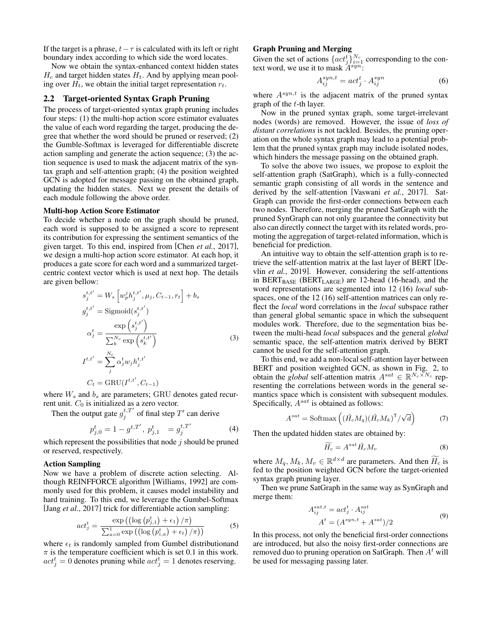If the target is a phrase,  $t - \tau$  is calculated with its left or right boundary index according to which side the word locates.

Now we obtain the syntax-enhanced context hidden states  $H_c$  and target hidden states  $H_t$ . And by applying mean pooling over  $H_t$ , we obtain the initial target representation  $r_t$ .

#### 2.2 Target-oriented Syntax Graph Pruning

The process of target-oriented syntax graph pruning includes four steps: (1) the multi-hop action score estimator evaluates the value of each word regarding the target, producing the degree that whether the word should be pruned or reserved; (2) the Gumble-Softmax is leveraged for differentiable discrete action sampling and generate the action sequence; (3) the action sequence is used to mask the adjacent matrix of the syntax graph and self-attention graph; (4) the position weighted GCN is adopted for message passing on the obtained graph, updating the hidden states. Next we present the details of each module following the above order.

#### Multi-hop Action Score Estimator

To decide whether a node on the graph should be pruned, each word is supposed to be assigned a score to represent its contribution for expressing the sentiment semantics of the given target. To this end, inspired from [Chen *et al.*[, 2017\]](#page-6-2), we design a multi-hop action score estimator. At each hop, it produces a gate score for each word and a summarized targetcentric context vector which is used at next hop. The details are given bellow:

$$
s_j^{t,t'} = W_s \left[ w_p^j h_j^{t,t'}, \mu_j, C_{t-1}, r_t \right] + b_s
$$
  
\n
$$
g_j^{t,t'} = \text{Sigmoid}(s_j^{t,t'})
$$
  
\n
$$
\alpha_j^t = \frac{\exp\left(s_j^{t,t'}\right)}{\sum_k^{N_c} \exp\left(s_k^{t,t'}\right)}
$$
  
\n
$$
I^{t,t'} = \sum_j^{N_c} \alpha_j^t w_j h_j^{t,t'}
$$
  
\n
$$
C_t = \text{GRU}(I^{t,t'}, C_{t-1})
$$

where  $W_s$  and  $b_s$  are parameters; GRU denotes gated recurrent unit.  $C_0$  is initialized as a zero vector.

Then the output gate  $g_j^{t,T'}$  of final step T' can derive

$$
p_{j,0}^{t} = 1 - g^{t,T'}, \ p_{j,1}^{t} = g_{j}^{t,T'} \tag{4}
$$

which represent the possibilities that node  $j$  should be pruned or reserved, respectively.

## Action Sampling

Now we have a problem of discrete action selecting. Although REINFFORCE algorithm [\[Williams, 1992\]](#page-6-12) are commonly used for this problem, it causes model instability and hard training. To this end, we leverage the Gumbel-Softmax [Jang *et al.*[, 2017\]](#page-6-9) trick for differentiable action sampling:

$$
act_j^t = \frac{\exp\left(\left(\log\left(p_{j,1}^t\right) + \epsilon_1\right) / \pi\right)}{\sum_{a=0}^1 \exp\left(\left(\log\left(p_{i,a}^t\right) + \epsilon_t\right) / \pi\right)}\tag{5}
$$

where  $\epsilon_t$  is randomly sampled from Gumbel distributionand  $\pi$  is the temperature coefficient which is set 0.1 in this work.  $act_j^t = 0$  denotes pruning while  $act_j^t = 1$  denotes reserving.

## Graph Pruning and Merging

Given the set of actions  $\{act_j^t\}_{i=1}^{N_c}$  corresponding to the context word, we use it to mask  $A^{syn}$ :

$$
A_{ij}^{syn,t} = act_j^t \cdot A_{ij}^{syn} \tag{6}
$$

where  $A^{syn,t}$  is the adjacent matrix of the pruned syntax graph of the t-th layer.

Now in the pruned syntax graph, some target-irrelevant nodes (words) are removed. However, the issue of *loss of distant correlations* is not tackled. Besides, the pruning operation on the whole syntax graph may lead to a potential problem that the pruned syntax graph may include isolated nodes, which hinders the message passing on the obtained graph.

To solve the above two issues, we propose to exploit the self-attention graph (SatGraph), which is a fully-connected semantic graph consisting of all words in the sentence and derived by the self-attention [\[Vaswani](#page-6-13) *et al.*, 2017]. Sat-Graph can provide the first-order connections between each two nodes. Therefore, merging the pruned SatGraph with the pruned SynGraph can not only guarantee the connectivity but also can directly connect the target with its related words, promoting the aggregation of target-related information, which is beneficial for prediction.

An intuitive way to obtain the self-attention graph is to retrieve the self-attention matrix at the last layer of BERT [\[De](#page-6-5)vlin *et al.*[, 2019\]](#page-6-5). However, considering the self-attentions in BERT $_{BASE}$  (BERT $_{LARGE}$ ) are 12-head (16-head), and the word representations are segmented into 12 (16) *local* subspaces, one of the 12 (16) self-attention matrices can only reflect the *local* word correlations in the *local* subspace rather than general global semantic space in which the subsequent modules work. Therefore, due to the segmentation bias between the multi-head *local* subspaces and the general *global* semantic space, the self-attention matrix derived by BERT cannot be used for the self-attention graph.

To this end, we add a non-local self-attention layer between BERT and position weighted GCN, as shown in Fig. [2,](#page-1-0) to obtain the *global* self-attention matrix  $A^{sat} \in \mathbb{R}^{N_c \times N_c}$  representing the correlations between words in the general semantics space which is consistent with subsequent modules. Specifically,  $A^{sat}$  is obtained as follows:

$$
A^{sat} = \text{Softmax}\left( (\hat{H}_c M_q)(\hat{H}_c M_k)^{\mathsf{T}} / \sqrt{d} \right) \tag{7}
$$

Then the updated hidden states are obtained by:

$$
\widetilde{H_c} = A^{sat} \hat{H}_c M_v \tag{8}
$$

where  $M_q$ ,  $M_k$ ,  $M_v \in \mathbb{R}^{d \times d}$  are parameters. And then  $\widetilde{H_c}$  is fed to the position weighted GCN before the target-oriented syntax graph pruning layer.

Then we prune SatGraph in the same way as SynGraph and merge them:

$$
A_{ij}^{sat,t} = act_j^t \cdot A_{ij}^{sat}
$$
  
\n
$$
A^t = (A^{syn,t} + A^{sat})/2
$$
\n(9)

In this process, not only the beneficial first-order connections are introduced, but also the noisy first-order connections are removed duo to pruning operation on SatGraph. Then  $A<sup>t</sup>$  will be used for messaging passing later.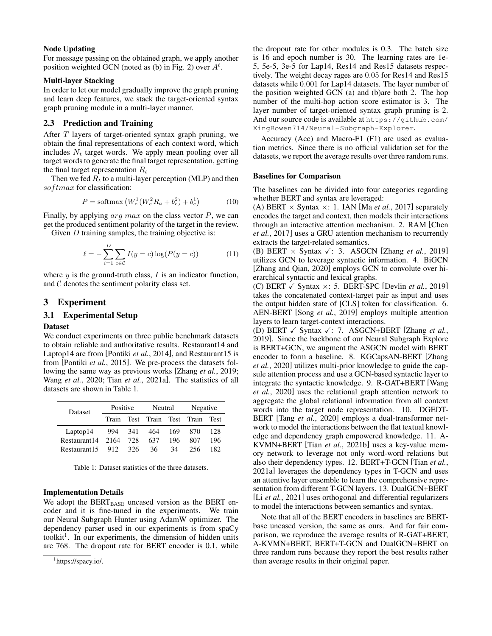#### Node Updating

For message passing on the obtained graph, we apply another position weighted GCN (noted as (b) in Fig. [2\)](#page-1-0) over  $A<sup>t</sup>$ .

## Multi-layer Stacking

In order to let our model gradually improve the graph pruning and learn deep features, we stack the target-oriented syntax graph pruning module in a multi-layer manner.

# 2.3 Prediction and Training

After T layers of target-oriented syntax graph pruning, we obtain the final representations of each context word, which includes  $N_t$  target words. We apply mean pooling over all target words to generate the final target representation, getting the final target representation  $R_t$ 

Then we fed  $R_t$  to a multi-layer perception (MLP) and then  $softmax$  for classification:

$$
P = \text{softmax}\left(W_c^1 (W_c^2 R_a + b_c^2) + b_c^1\right) \tag{10}
$$

Finally, by applying  $\arg \max$  on the class vector  $P$ , we can get the produced sentiment polarity of the target in the review.

Given  $D$  training samples, the training objective is:

$$
\ell = -\sum_{i=1}^{D} \sum_{c \in C} I(y = c) \log(P(y = c))
$$
 (11)

where  $y$  is the ground-truth class,  $I$  is an indicator function, and  $\mathcal C$  denotes the sentiment polarity class set.

## 3 Experiment

## 3.1 Experimental Setup

#### Dataset

We conduct experiments on three public benchmark datasets to obtain reliable and authoritative results. Restaurant14 and Laptop14 are from [\[Pontiki](#page-6-14) *et al.*, 2014], and Restaurant15 is from [\[Pontiki](#page-6-15) *et al.*, 2015]. We pre-process the datasets following the same way as previous works [\[Zhang](#page-6-3) *et al.*, 2019; Wang *et al.*[, 2020;](#page-6-10) Tian *et al.*[, 2021a\]](#page-6-11). The statistics of all datasets are shown in Table [1.](#page-3-0)

<span id="page-3-0"></span>

| <b>Dataset</b> | Positive                       |     | Neutral |     | Negative |             |
|----------------|--------------------------------|-----|---------|-----|----------|-------------|
|                | Test Train Test Train<br>Train |     |         |     |          | <b>Test</b> |
| Laptop14       | 994 341                        |     | 464     | 169 | 870      | 128         |
| Restaurant 14  | 2164                           | 728 | 637     | 196 | 807      | 196         |
| Restaurant15   | - 912                          | 326 | 36      | 34  | 256      | 182         |

Table 1: Dataset statistics of the three datasets.

#### Implementation Details

We adopt the  $BERT_{BASE}$  uncased version as the BERT encoder and it is fine-tuned in the experiments. We train our Neural Subgraph Hunter using AdamW optimizer. The dependency parser used in our experiments is from spaCy toolkit<sup>[1](#page-3-1)</sup>. In our experiments, the dimension of hidden units are 768. The dropout rate for BERT encoder is 0.1, while the dropout rate for other modules is 0.3. The batch size is 16 and epoch number is 30. The learning rates are 1e-5, 5e-5, 3e-5 for Lap14, Res14 and Res15 datasets respectively. The weight decay rages are 0.05 for Res14 and Res15 datasets while 0.001 for Lap14 datasets. The layer number of the position weighted GCN (a) and (b)are both 2. The hop number of the multi-hop action score estimator is 3. The layer number of target-oriented syntax graph pruning is 2. And our source code is available at [https://github.com/](https://github.com/XingBowen714/Neural-Subgraph-Explorer) [XingBowen714/Neural-Subgraph-Explorer](https://github.com/XingBowen714/Neural-Subgraph-Explorer).

Accuracy (Acc) and Macro-F1 (F1) are used as evaluation metrics. Since there is no official validation set for the datasets, we report the average results over three random runs.

#### Baselines for Comparison

The baselines can be divided into four categories regarding whether BERT and syntax are leveraged:

(A) BERT  $\times$  Syntax  $\times$ : 1. IAN [Ma *et al.*[, 2017\]](#page-6-1) separately encodes the target and context, then models their interactions through an interactive attention mechanism. 2. RAM [\[Chen](#page-6-2) *et al.*[, 2017\]](#page-6-2) uses a GRU attention mechanism to recurrently extracts the target-related semantics.

(B) BERT  $\times$  Syntax  $\checkmark$ : 3. ASGCN [Zhang *et al.*[, 2019\]](#page-6-3) utilizes GCN to leverage syntactic information. 4. BiGCN [\[Zhang and Qian, 2020\]](#page-6-16) employs GCN to convolute over hierarchical syntactic and lexical graphs.

(C) BERT  $\checkmark$  Syntax  $\times$ : 5. BERT-SPC [\[Devlin](#page-6-5) *et al.*, 2019] takes the concatenated context-target pair as input and uses the output hidden state of [CLS] token for classification. 6. AEN-BERT [Song *et al.*[, 2019\]](#page-6-17) employs multiple attention layers to learn target-context interactions.

(D) BERT  $\checkmark$  Syntax  $\checkmark$ : 7. ASGCN+BERT [\[Zhang](#page-6-3) *et al.*, [2019\]](#page-6-3). Since the backbone of our Neural Subgraph Explore is BERT+GCN, we augment the ASGCN model with BERT encoder to form a baseline. 8. KGCapsAN-BERT [\[Zhang](#page-6-18) *et al.*[, 2020\]](#page-6-18) utilizes multi-prior knowledge to guide the capsule attention process and use a GCN-based syntactic layer to integrate the syntactic knowledge. 9. R-GAT+BERT [\[Wang](#page-6-10) *et al.*[, 2020\]](#page-6-10) uses the relational graph attention network to aggregate the global relational information from all context words into the target node representation. 10. DGEDT-BERT [Tang *et al.*[, 2020\]](#page-6-6) employs a dual-transformer network to model the interactions between the flat textual knowledge and dependency graph empowered knowledge. 11. A-KVMN+BERT [Tian *et al.*[, 2021b\]](#page-6-19) uses a key-value memory network to leverage not only word-word relations but also their dependency types. 12. BERT+T-GCN [\[Tian](#page-6-11) *et al.*, [2021a\]](#page-6-11) leverages the dependency types in T-GCN and uses an attentive layer ensemble to learn the comprehensive representation from different T-GCN layers. 13. DualGCN+BERT [Li *et al.*[, 2021\]](#page-6-7) uses orthogonal and differential regularizers to model the interactions between semantics and syntax.

Note that all of the BERT encoders in baselines are BERTbase uncased version, the same as ours. And for fair comparison, we reproduce the average results of R-GAT+BERT, A-KVMN+BERT, BERT+T-GCN and DualGCN+BERT on three random runs because they report the best results rather than average results in their original paper.

<span id="page-3-1"></span><sup>1</sup> https://spacy.io/.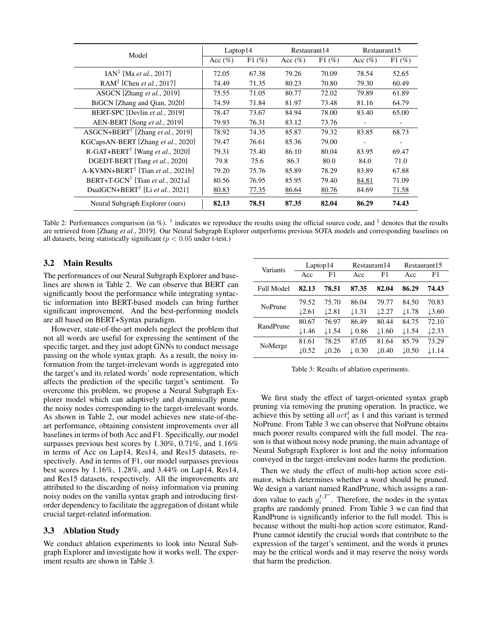<span id="page-4-0"></span>

| Model                                                     | Laptop14   |          | Restaurant14 |          | Restaurant15 |          |
|-----------------------------------------------------------|------------|----------|--------------|----------|--------------|----------|
|                                                           | Acc $(\%)$ | $F1(\%)$ | Acc $(\%)$   | $F1(\%)$ | Acc $(\%)$   | $F1$ (%) |
| $IAN^{\ddagger}$ [Ma <i>et al.</i> , 2017]                | 72.05      | 67.38    | 79.26        | 70.09    | 78.54        | 52.65    |
| RAM <sup><math>‡</math></sup> [Chen <i>et al.</i> , 2017] | 74.49      | 71.35    | 80.23        | 70.80    | 79.30        | 60.49    |
| ASGCN [Zhang et al., 2019]                                | 75.55      | 71.05    | 80.77        | 72.02    | 79.89        | 61.89    |
| BiGCN [Zhang and Oian, 2020]                              | 74.59      | 71.84    | 81.97        | 73.48    | 81.16        | 64.79    |
| BERT-SPC [Devlin et al., 2019]                            | 78.47      | 73.67    | 84.94        | 78.00    | 83.40        | 65.00    |
| AEN-BERT [Song et al., 2019]                              | 79.93      | 76.31    | 83.12        | 73.76    |              |          |
| ASGCN+BERT <sup>†</sup> [Zhang et al., 2019]              | 78.92      | 74.35    | 85.87        | 79.32    | 83.85        | 68.73    |
| KGCapsAN-BERT [Zhang et al., 2020]                        | 79.47      | 76.61    | 85.36        | 79.00    |              |          |
| R-GAT+BERT <sup>†</sup> [Wang et al., 2020]               | 79.31      | 75.40    | 86.10        | 80.04    | 83.95        | 69.47    |
| DGEDT-BERT [Tang et al., 2020]                            | 79.8       | 75.6     | 86.3         | 80.0     | 84.0         | 71.0     |
| $A-KVMN+BERT^{\dagger}$ [Tian et al., 2021b]              | 79.20      | 75.76    | 85.89        | 78.29    | 83.89        | 67.88    |
| BERT+T-GCN <sup>†</sup> [Tian et al., 2021a]              | 80.56      | 76.95    | 85.95        | 79.40    | 84.81        | 71.09    |
| DualGCN+BERT <sup>†</sup> [Li et al., 2021]               | 80.83      | 77.35    | 86.64        | 80.76    | 84.69        | 71.58    |
| Neural Subgraph Explorer (ours)                           | 82.13      | 78.51    | 87.35        | 82.04    | 86.29        | 74.43    |

Table 2: Performances comparison (in %).  $\dagger$  indicates we reproduce the results using the official source code, and  $\dagger$  denotes that the results are retrieved from [Zhang *et al*., 2019]. Our Neural Subgraph Explorer outperforms previous SOTA models and corresponding baselines on all datasets, being statistically significant ( $p < 0.05$  under t-test.)

## 3.2 Main Results

The performances of our Neural Subgraph Explorer and baselines are shown in Table [2.](#page-4-0) We can observe that BERT can significantly boost the performance while integrating syntactic information into BERT-based models can bring further significant improvement. And the best-performing models are all based on BERT+Syntax paradigm.

However, state-of-the-art models neglect the problem that not all words are useful for expressing the sentiment of the specific target, and they just adopt GNNs to conduct message passing on the whole syntax graph. As a result, the noisy information from the target-irrelevant words is aggregated into the target's and its related words' node representation, which affects the prediction of the specific target's sentiment. To overcome this problem, we propose a Neural Subgraph Explorer model which can adaptively and dynamically prune the noisy nodes corresponding to the target-irrelevant words. As shown in Table [2,](#page-4-0) our model achieves new state-of-theart performance, obtaining consistent improvements over all baselines in terms of both Acc and F1. Specifically, our model surpasses previous best scores by 1.30%, 0.71%, and 1.16% in terms of Acc on Lap14, Res14, and Res15 datasets, respectively. And in terms of F1, our model surpasses previous best scores by 1.16%, 1.28%, and 3.44% on Lap14, Res14, and Res15 datasets, respectively. All the improvements are attributed to the discarding of noisy information via pruning noisy nodes on the vanilla syntax graph and introducing firstorder dependency to facilitate the aggregation of distant while crucial target-related information.

#### 3.3 Ablation Study

We conduct ablation experiments to look into Neural Subgraph Explorer and investigate how it works well. The experiment results are shown in Table [3.](#page-4-1)

<span id="page-4-1"></span>

| Variants          | Laptop14          |                   | Restaurant14      |                   | Restaurant 15     |                   |
|-------------------|-------------------|-------------------|-------------------|-------------------|-------------------|-------------------|
|                   | Acc               | F1                | Acc               | F1                | Acc               | F1                |
| <b>Full Model</b> | 82.13             | 78.51             | 87.35             | 82.04             | 86.29             | 74.43             |
| <b>NoPrune</b>    | 79.52             | 75.70             | 86.04             | 79.77             | 84.50             | 70.83             |
|                   | $\downarrow$ 2.61 | $\downarrow$ 2.81 | $\downarrow$ 1.31 | $\downarrow$ 2.27 | $\downarrow$ 1.78 | $\downarrow$ 3.60 |
| RandPrune         | 80.67             | 76.97             | 86.49             | 80.44             | 84.75             | 72.10             |
|                   | $\downarrow$ 1.46 | $\downarrow$ 1.54 | $\downarrow$ 0.86 | $\downarrow$ 1.60 | $\downarrow$ 1.54 | $\downarrow$ 2.33 |
| NoMerge           | 81.61             | 78.25             | 87.05             | 81.64             | 85.79             | 73.29             |
|                   | $\downarrow$ 0.52 | $\downarrow$ 0.26 | $\downarrow$ 0.30 | $\downarrow$ 0.40 | $\downarrow$ 0.50 | $\downarrow$ 1.14 |

Table 3: Results of ablation experiments.

We first study the effect of target-oriented syntax graph pruning via removing the pruning operation. In practice, we achieve this by setting all  $act_i^t$  as 1 and this variant is termed NoPrune. From Table [3](#page-4-1) we can observe that NoPrune obtains much poorer results compared with the full model. The reason is that without noisy node pruning, the main advantage of Neural Subgraph Explorer is lost and the noisy information conveyed in the target-irrelevant nodes harms the prediction.

Then we study the effect of multi-hop action score estimator, which determines whether a word should be pruned. We design a variant named RandPrune, which assigns a random value to each  $g_i^{t,T'}$ . Therefore, the nodes in the syntax graphs are randomly pruned. From Table [3](#page-4-1) we can find that RandPrune is significantly inferior to the full model. This is because without the multi-hop action score estimator, Rand-Prune cannot identify the crucial words that contribute to the expression of the target's sentiment, and the words it prunes may be the critical words and it may reserve the noisy words that harm the prediction.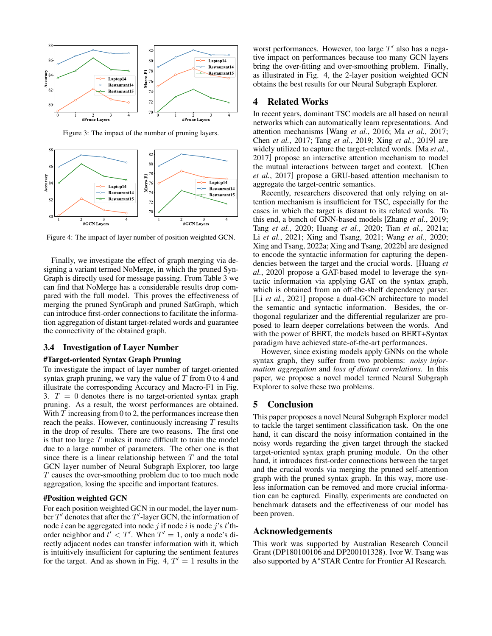<span id="page-5-0"></span>

Figure 3: The impact of the number of pruning layers.

<span id="page-5-1"></span>

Figure 4: The impact of layer number of position weighted GCN.

Finally, we investigate the effect of graph merging via designing a variant termed NoMerge, in which the pruned Syn-Graph is directly used for message passing. From Table [3](#page-4-1) we can find that NoMerge has a considerable results drop compared with the full model. This proves the effectiveness of merging the pruned SynGraph and pruned SatGraph, which can introduce first-order connections to facilitate the information aggregation of distant target-related words and guarantee the connectivity of the obtained graph.

#### 3.4 Investigation of Layer Number

#### #Target-oriented Syntax Graph Pruning

To investigate the impact of layer number of target-oriented syntax graph pruning, we vary the value of  $T$  from 0 to 4 and illustrate the corresponding Accuracy and Macro-F1 in Fig. [3.](#page-5-0)  $T = 0$  denotes there is no target-oriented syntax graph pruning. As a result, the worst performances are obtained. With  $T$  increasing from 0 to 2, the performances increase then reach the peaks. However, continuously increasing  $T$  results in the drop of results. There are two reasons. The first one is that too large  $T$  makes it more difficult to train the model due to a large number of parameters. The other one is that since there is a linear relationship between  $T$  and the total GCN layer number of Neural Subgraph Explorer, too large T causes the over-smoothing problem due to too much node aggregation, losing the specific and important features.

## #Position weighted GCN

For each position weighted GCN in our model, the layer number  $T'$  denotes that after the  $T'$ -layer GCN, the information of node *i* can be aggregated into node *j* if node *i* is node *j*'s *t*'thorder neighbor and  $t' < T'$ . When  $T' = 1$ , only a node's directly adjacent nodes can transfer information with it, which is intuitively insufficient for capturing the sentiment features for the target. And as shown in Fig. [4,](#page-5-1)  $T' = 1$  results in the

worst performances. However, too large  $T'$  also has a negative impact on performances because too many GCN layers bring the over-fitting and over-smoothing problem. Finally, as illustrated in Fig. [4,](#page-5-1) the 2-layer position weighted GCN obtains the best results for our Neural Subgraph Explorer.

## 4 Related Works

In recent years, dominant TSC models are all based on neural networks which can automatically learn representations. And attention mechanisms [Wang *et al.*[, 2016;](#page-6-20) Ma *et al.*[, 2017;](#page-6-1) Chen *et al.*[, 2017;](#page-6-2) Tang *et al.*[, 2019;](#page-6-21) Xing *et al.*[, 2019\]](#page-6-22) are widely utilized to capture the target-related words. [Ma *[et al.](#page-6-1)*, [2017\]](#page-6-1) propose an interactive attention mechanism to model the mutual interactions between target and context. [\[Chen](#page-6-2) *et al.*[, 2017\]](#page-6-2) propose a GRU-based attention mechanism to aggregate the target-centric semantics.

Recently, researchers discovered that only relying on attention mechanism is insufficient for TSC, especially for the cases in which the target is distant to its related words. To this end, a bunch of GNN-based models [\[Zhang](#page-6-3) *et al.*, 2019; Tang *et al.*[, 2020;](#page-6-6) [Huang](#page-6-23) *et al.*, 2020; Tian *et al.*[, 2021a;](#page-6-11) Li *et al.*[, 2021;](#page-6-7) [Xing and Tsang, 2021;](#page-6-24) Wang *et al.*[, 2020;](#page-6-10) [Xing and Tsang, 2022a;](#page-6-8) [Xing and Tsang, 2022b\]](#page-6-25) are designed to encode the syntactic information for capturing the dependencies between the target and the crucial words. [\[Huang](#page-6-23) *et al.*[, 2020\]](#page-6-23) propose a GAT-based model to leverage the syntactic information via applying GAT on the syntax graph, which is obtained from an off-the-shelf dependency parser. [Li *et al.*[, 2021\]](#page-6-7) propose a dual-GCN architecture to model the semantic and syntactic information. Besides, the orthogonal regularizer and the differential regularizer are proposed to learn deeper correlations between the words. And with the power of BERT, the models based on BERT+Syntax paradigm have achieved state-of-the-art performances.

However, since existing models apply GNNs on the whole syntax graph, they suffer from two problems: *noisy information aggregation* and *loss of distant correlations*. In this paper, we propose a novel model termed Neural Subgraph Explorer to solve these two problems.

## 5 Conclusion

This paper proposes a novel Neural Subgraph Explorer model to tackle the target sentiment classification task. On the one hand, it can discard the noisy information contained in the noisy words regarding the given target through the stacked target-oriented syntax graph pruning module. On the other hand, it introduces first-order connections between the target and the crucial words via merging the pruned self-attention graph with the pruned syntax graph. In this way, more useless information can be removed and more crucial information can be captured. Finally, experiments are conducted on benchmark datasets and the effectiveness of our model has been proven.

## Acknowledgements

This work was supported by Australian Research Council Grant (DP180100106 and DP200101328). Ivor W. Tsang was also supported by A<sup>∗</sup>STAR Centre for Frontier AI Research.